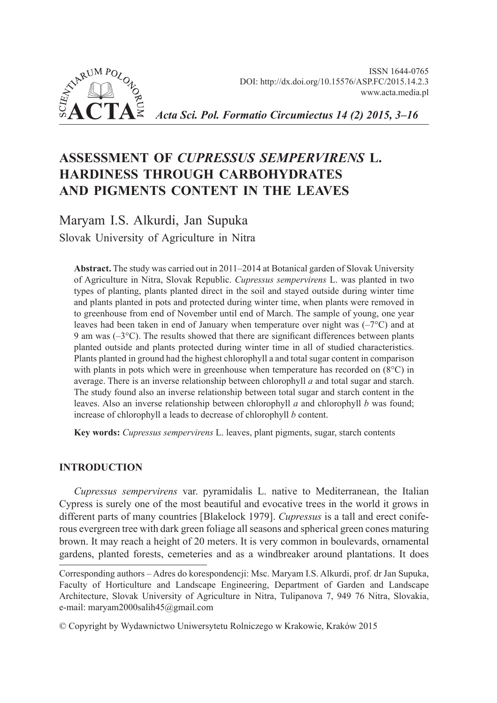



*Acta Sci. Pol. Formatio Circumiectus 14 (2) 2015, 3–16*

# **ASSESSMENT OF** *CUPRESSUS SEMPERVIRENS* **L. HARDINESS THROUGH CARBOHYDRATES AND PIGMENTS CONTENT IN THE LEAVES**

Maryam I.S. Alkurdi, Jan Supuka Slovak University of Agriculture in Nitra

**Abstract.** The study was carried out in 2011–2014 at Botanical garden of Slovak University of Agriculture in Nitra, Slovak Republic. *Cupressus sempervirens* L. was planted in two types of planting, plants planted direct in the soil and stayed outside during winter time and plants planted in pots and protected during winter time, when plants were removed in to greenhouse from end of November until end of March. The sample of young, one year leaves had been taken in end of January when temperature over night was  $(-7^{\circ}C)$  and at 9 am was  $(-3^{\circ}C)$ . The results showed that there are significant differences between plants planted outside and plants protected during winter time in all of studied characteristics. Plants planted in ground had the highest chlorophyll a and total sugar content in comparison with plants in pots which were in greenhouse when temperature has recorded on  $(8^{\circ}C)$  in average. There is an inverse relationship between chlorophyll *a* and total sugar and starch. The study found also an inverse relationship between total sugar and starch content in the leaves. Also an inverse relationship between chlorophyll *a* and chlorophyll *b* was found; increase of chlorophyll a leads to decrease of chlorophyll *b* content.

**Key words:** *Cupressus sempervirens* L. leaves, plant pigments, sugar, starch contents

## **INTRODUCTION**

*Cupressus sempervirens* var. pyramidalis L. native to Mediterranean, the Italian Cypress is surely one of the most beautiful and evocative trees in the world it grows in different parts of many countries [Blakelock 1979]. *Cupressus* is a tall and erect coniferous evergreen tree with dark green foliage all seasons and spherical green cones maturing brown. It may reach a height of 20 meters. It is very common in boulevards, ornamental gardens, planted forests, cemeteries and as a windbreaker around plantations. It does

Corresponding authors – Adres do korespondencji: Msc. Maryam I.S. Alkurdi, prof. dr Jan Supuka, Faculty of Horticulture and Landscape Engineering, Department of Garden and Landscape Architecture, Slovak University of Agriculture in Nitra, Tulipanova 7, 949 76 Nitra, Slovakia, e-mail: maryam2000salih45@gmail.com

<sup>©</sup> Copyright by Wydawnictwo Uniwersytetu Rolniczego w Krakowie, Kraków 2015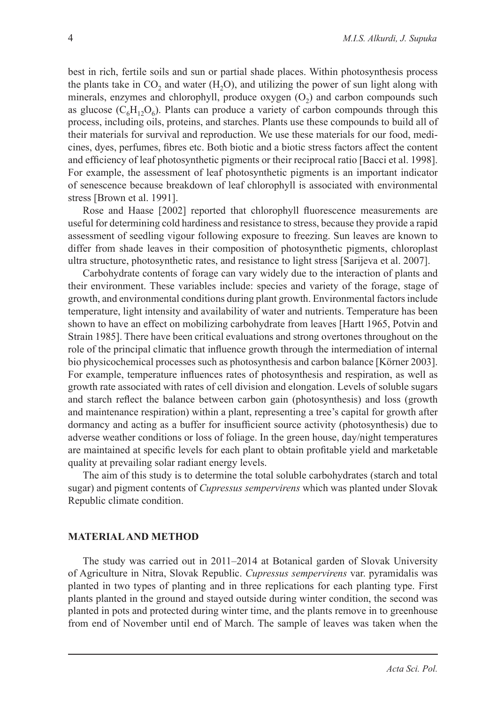best in rich, fertile soils and sun or partial shade places. Within photosynthesis process the plants take in  $CO<sub>2</sub>$  and water  $(H<sub>2</sub>O)$ , and utilizing the power of sun light along with minerals, enzymes and chlorophyll, produce oxygen  $(O<sub>2</sub>)$  and carbon compounds such as glucose ( $C_6H_1O_6$ ). Plants can produce a variety of carbon compounds through this process, including oils, proteins, and starches. Plants use these compounds to build all of their materials for survival and reproduction. We use these materials for our food, medicines, dyes, perfumes, fibres etc. Both biotic and a biotic stress factors affect the content and efficiency of leaf photosynthetic pigments or their reciprocal ratio [Bacci et al. 1998]. For example, the assessment of leaf photosynthetic pigments is an important indicator of senescence because breakdown of leaf chlorophyll is associated with environmental stress [Brown et al. 1991].

Rose and Haase [2002] reported that chlorophyll fluorescence measurements are useful for determining cold hardiness and resistance to stress, because they provide a rapid assessment of seedling vigour following exposure to freezing. Sun leaves are known to differ from shade leaves in their composition of photosynthetic pigments, chloroplast ultra structure, photosynthetic rates, and resistance to light stress [Sarijeva et al. 2007].

Carbohydrate contents of forage can vary widely due to the interaction of plants and their environment. These variables include: species and variety of the forage, stage of growth, and environmental conditions during plant growth. Environmental factors include temperature, light intensity and availability of water and nutrients. Temperature has been shown to have an effect on mobilizing carbohydrate from leaves [Hartt 1965, Potvin and Strain 1985]. There have been critical evaluations and strong overtones throughout on the role of the principal climatic that influence growth through the intermediation of internal bio physicochemical processes such as photosynthesis and carbon balance [Körner 2003]. For example, temperature influences rates of photosynthesis and respiration, as well as growth rate associated with rates of cell division and elongation. Levels of soluble sugars and starch reflect the balance between carbon gain (photosynthesis) and loss (growth and maintenance respiration) within a plant, representing a tree's capital for growth after dormancy and acting as a buffer for insufficient source activity (photosynthesis) due to adverse weather conditions or loss of foliage. In the green house, day/night temperatures are maintained at specific levels for each plant to obtain profitable yield and marketable quality at prevailing solar radiant energy levels.

The aim of this study is to determine the total soluble carbohydrates (starch and total sugar) and pigment contents of *Cupressus sempervirens* which was planted under Slovak Republic climate condition.

#### **MATERIAL AND METHOD**

The study was carried out in 2011–2014 at Botanical garden of Slovak University of Agriculture in Nitra, Slovak Republic. *Cupressus sempervirens* var. pyramidalis was planted in two types of planting and in three replications for each planting type. First plants planted in the ground and stayed outside during winter condition, the second was planted in pots and protected during winter time, and the plants remove in to greenhouse from end of November until end of March. The sample of leaves was taken when the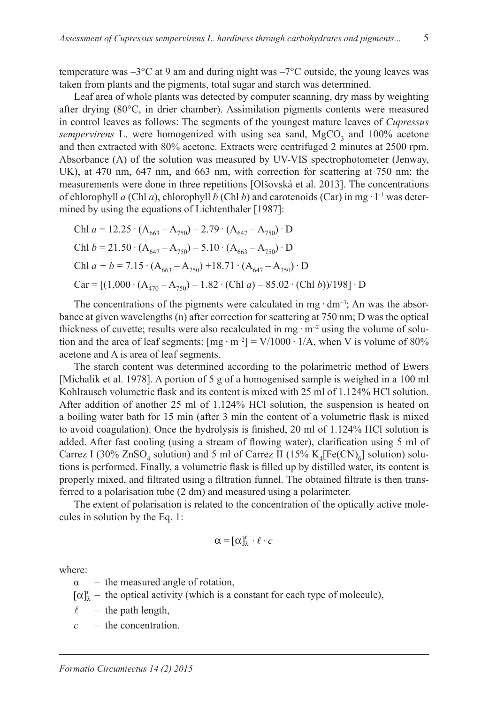temperature was  $-3^{\circ}\text{C}$  at 9 am and during night was  $-7^{\circ}\text{C}$  outside, the young leaves was taken from plants and the pigments, total sugar and starch was determined.

Leaf area of whole plants was detected by computer scanning, dry mass by weighting after drying (80°C, in drier chamber). Assimilation pigments contents were measured in control leaves as follows: The segments of the youngest mature leaves of *Cupressus sempervirens* L. were homogenized with using sea sand,  $MgCO<sub>3</sub>$  and 100% acetone and then extracted with 80% acetone. Extracts were centrifuged 2 minutes at 2500 rpm. Absorbance (A) of the solution was measured by UV-VIS spectrophotometer (Jenway, UK), at 470 nm, 647 nm, and 663 nm, with correction for scattering at 750 nm; the measurements were done in three repetitions [Olšovská et al. 2013]. The concentrations of chlorophyll *a* (Chl *a*), chlorophyll *b* (Chl *b*) and carotenoids (Car) in mg · l –1 was determined by using the equations of Lichtenthaler [1987]:

Chl 
$$
a = 12.25 \cdot (A_{663} - A_{750}) - 2.79 \cdot (A_{647} - A_{750}) \cdot D
$$
  
\nChl  $b = 21.50 \cdot (A_{647} - A_{750}) - 5.10 \cdot (A_{663} - A_{750}) \cdot D$   
\nChl  $a + b = 7.15 \cdot (A_{663} - A_{750}) + 18.71 \cdot (A_{647} - A_{750}) \cdot D$   
\nCar = [(1,000 \cdot (A<sub>470</sub> - A<sub>750</sub>) - 1.82 \cdot (Chl  $a$ ) - 85.02 \cdot (Chl  $b$ ))/198] \cdot D

The concentrations of the pigments were calculated in mg  $\cdot$  dm<sup>-3</sup>; An was the absorbance at given wavelengths (n) after correction for scattering at 750 nm; D was the optical thickness of cuvette; results were also recalculated in mg  $\cdot$  m<sup>-2</sup> using the volume of solution and the area of leaf segments:  $[mg \cdot m^{-2}] = V/1000 \cdot 1/A$ , when V is volume of 80% acetone and A is area of leaf segments.

The starch content was determined according to the polarimetric method of Ewers [Michalik et al. 1978]. A portion of 5 g of a homogenised sample is weighed in a 100 ml Kohlrausch volumetric flask and its content is mixed with 25 ml of 1.124% HCl solution. After addition of another 25 ml of 1.124% HCl solution, the suspension is heated on a boiling water bath for 15 min (after 3 min the content of a volumetric flask is mixed to avoid coagulation). Once the hydrolysis is finished, 20 ml of 1.124% HCl solution is added. After fast cooling (using a stream of flowing water), clarification using 5 ml of Carrez I (30% ZnSO<sub>4</sub> solution) and 5 ml of Carrez II (15%  $K_4[Fe(CN)_6]$  solution) solutions is performed. Finally, a volumetric flask is filled up by distilled water, its content is properly mixed, and filtrated using a filtration funnel. The obtained filtrate is then transferred to a polarisation tube (2 dm) and measured using a polarimeter.

The extent of polarisation is related to the concentration of the optically active molecules in solution by the Eq. 1:

$$
\alpha = [\alpha]_{\lambda}^{t} \cdot \ell \cdot c
$$

where:

- $\alpha$  the measured angle of rotation,
- $[\alpha]_{\lambda}^{t}$  the optical activity (which is a constant for each type of molecule),
- $\ell$  the path length,
- *c* the concentration.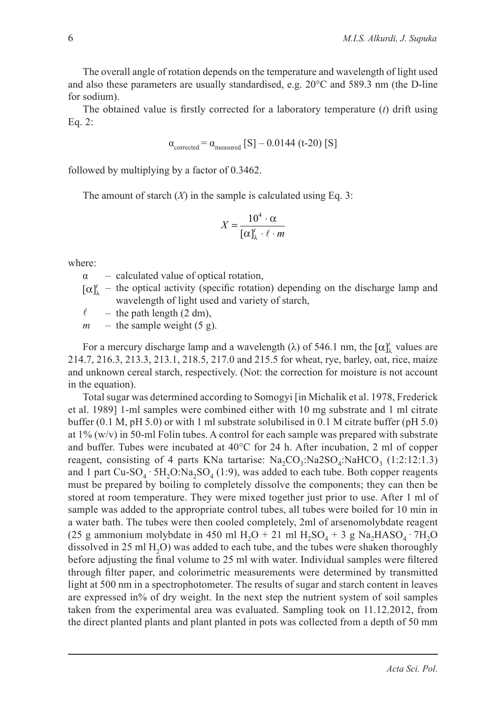The overall angle of rotation depends on the temperature and wavelength of light used and also these parameters are usually standardised, e.g. 20°C and 589.3 nm (the D-line for sodium).

The obtained value is firstly corrected for a laboratory temperature (*t*) drift using Eq. 2:

$$
\alpha_{\text{corrected}} = \alpha_{\text{measured}} \, [S] - 0.0144 \, (t\text{-}20) \, [S]
$$

followed by multiplying by a factor of 0.3462.

The amount of starch (*X*) in the sample is calculated using Eq. 3:

$$
X = \frac{10^4 \cdot \alpha}{[\alpha]_{\lambda}^t \cdot \ell \cdot m}
$$

where:

 $\alpha$  – calculated value of optical rotation,

 $[\alpha]_{\lambda}^{t}$  – the optical activity (specific rotation) depending on the discharge lamp and wavelength of light used and variety of starch,

 $\ell$  – the path length (2 dm),

 $m$  – the sample weight (5 g).

For a mercury discharge lamp and a wavelength ( $\lambda$ ) of 546.1 nm, the  $[\alpha]_{\lambda}^{t}$  values are 214.7, 216.3, 213.3, 213.1, 218.5, 217.0 and 215.5 for wheat, rye, barley, oat, rice, maize and unknown cereal starch, respectively. (Not: the correction for moisture is not account in the equation).

Total sugar was determined according to Somogyi [in Michalik et al. 1978, Frederick et al. 1989] 1-ml samples were combined either with 10 mg substrate and 1 ml citrate buffer (0.1 M, pH 5.0) or with 1 ml substrate solubilised in 0.1 M citrate buffer (pH 5.0) at  $1\%$  (w/v) in 50-ml Folin tubes. A control for each sample was prepared with substrate and buffer. Tubes were incubated at 40°C for 24 h. After incubation, 2 ml of copper reagent, consisting of 4 parts KNa tartarise:  $Na_{2}CO_{3}$ :Na2SO<sub>4</sub>:NaHCO<sub>3</sub> (1:2:12:1.3) and 1 part Cu-SO<sub>4</sub> · 5H<sub>2</sub>O:Na<sub>2</sub>SO<sub>4</sub> (1:9), was added to each tube. Both copper reagents must be prepared by boiling to completely dissolve the components; they can then be stored at room temperature. They were mixed together just prior to use. After 1 ml of sample was added to the appropriate control tubes, all tubes were boiled for 10 min in a water bath. The tubes were then cooled completely, 2ml of arsenomolybdate reagent (25 g ammonium molybdate in 450 ml H<sub>2</sub>O + 21 ml H<sub>2</sub>SO<sub>4</sub> + 3 g Na<sub>2</sub>HASO<sub>4</sub> · 7H<sub>2</sub>O dissolved in 25 ml H<sub>2</sub>O) was added to each tube, and the tubes were shaken thoroughly before adjusting the final volume to 25 ml with water. Individual samples were filtered through filter paper, and colorimetric measurements were determined by transmitted light at 500 nm in a spectrophotometer. The results of sugar and starch content in leaves are expressed in% of dry weight. In the next step the nutrient system of soil samples taken from the experimental area was evaluated. Sampling took on 11.12.2012, from the direct planted plants and plant planted in pots was collected from a depth of 50 mm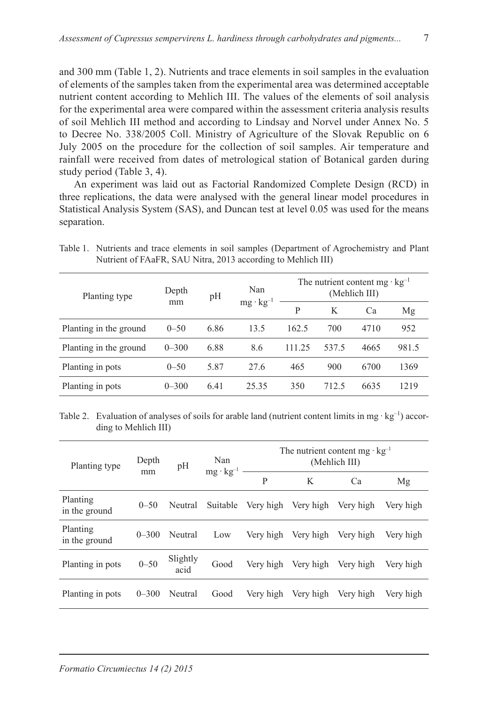and 300 mm (Table 1, 2). Nutrients and trace elements in soil samples in the evaluation of elements of the samples taken from the experimental area was determined acceptable nutrient content according to Mehlich III. The values of the elements of soil analysis for the experimental area were compared within the assessment criteria analysis results of soil Mehlich III method and according to Lindsay and Norvel under Annex No. 5 to Decree No. 338/2005 Coll. Ministry of Agriculture of the Slovak Republic on 6 July 2005 on the procedure for the collection of soil samples. Air temperature and rainfall were received from dates of metrological station of Botanical garden during study period (Table 3, 4).

An experiment was laid out as Factorial Randomized Complete Design (RCD) in three replications, the data were analysed with the general linear model procedures in Statistical Analysis System (SAS), and Duncan test at level 0.05 was used for the means separation.

| Planting type          | Depth     | Nan<br>pH |                    |        | The nutrient content mg $\cdot$ kg <sup>-1</sup><br>(Mehlich III) |      |       |
|------------------------|-----------|-----------|--------------------|--------|-------------------------------------------------------------------|------|-------|
|                        |           | mm        | $mg \cdot kg^{-1}$ | P      | K                                                                 | Ca   | Mg    |
| Planting in the ground | $0 - 50$  | 6.86      | 13.5               | 162.5  | 700                                                               | 4710 | 952   |
| Planting in the ground | $0 - 300$ | 6.88      | 8.6                | 111.25 | 537.5                                                             | 4665 | 981.5 |
| Planting in pots       | $0 - 50$  | 5.87      | 27.6               | 465    | 900                                                               | 6700 | 1369  |
| Planting in pots       | $0 - 300$ | 6.41      | 25.35              | 350    | 712.5                                                             | 6635 | 1219  |

Table 1. Nutrients and trace elements in soil samples (Department of Agrochemistry and Plant Nutrient of FAaFR, SAU Nitra, 2013 according to Mehlich III)

Table 2. Evaluation of analyses of soils for arable land (nutrient content limits in mg  $\cdot$  kg<sup>-1</sup>) according to Mehlich III)

| Planting type             | Depth<br>mm | pH               | Nan<br>$mg \cdot kg^{-1}$ | The nutrient content mg $kg^{-1}$<br>(Mehlich III) |           |           |           |
|---------------------------|-------------|------------------|---------------------------|----------------------------------------------------|-----------|-----------|-----------|
|                           |             |                  |                           | P                                                  | K         | Ca        | Mg        |
| Planting<br>in the ground | $0 - 50$    | Neutral          | Suitable                  | Very high                                          | Very high | Very high | Very high |
| Planting<br>in the ground | $0 - 300$   | Neutral          | Low                       | Very high                                          | Very high | Very high | Very high |
| Planting in pots          | $0 - 50$    | Slightly<br>acid | Good                      | Very high                                          | Very high | Very high | Very high |
| Planting in pots          | $0 - 300$   | Neutral          | Good                      | Very high                                          | Very high | Very high | Very high |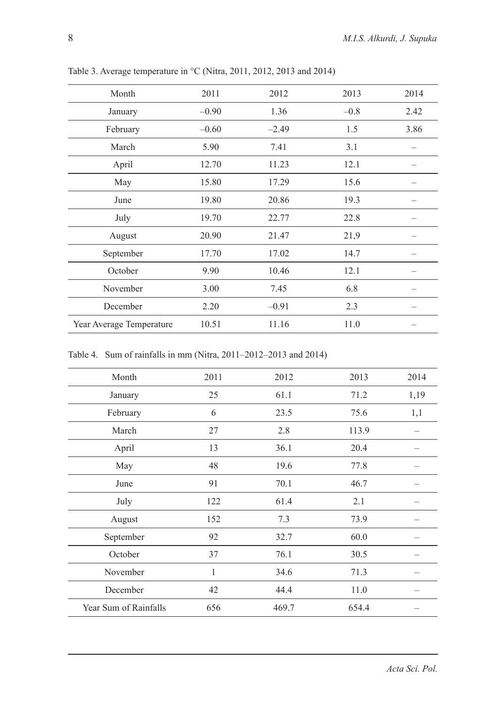| Month                    | 2011    | 2012    | 2013   | 2014 |
|--------------------------|---------|---------|--------|------|
| January                  | $-0.90$ | 1.36    | $-0.8$ | 2.42 |
| February                 | $-0.60$ | $-2.49$ | 1.5    | 3.86 |
| March                    | 5.90    | 7.41    | 3.1    |      |
| April                    | 12.70   | 11.23   | 12.1   |      |
| May                      | 15.80   | 17.29   | 15.6   |      |
| June                     | 19.80   | 20.86   | 19.3   |      |
| July                     | 19.70   | 22.77   | 22.8   |      |
| August                   | 20.90   | 21.47   | 21,9   |      |
| September                | 17.70   | 17.02   | 14.7   |      |
| October                  | 9.90    | 10.46   | 12.1   |      |
| November                 | 3.00    | 7.45    | 6.8    |      |
| December                 | 2.20    | $-0.91$ | 2.3    |      |
| Year Average Temperature | 10.51   | 11.16   | 11.0   |      |

Table 3. Average temperature in °C (Nitra, 2011, 2012, 2013 and 2014)

Table 4. Sum of rainfalls in mm (Nitra, 2011–2012–2013 and 2014)

| Month                 | 2011 | 2012  | 2013  | 2014 |
|-----------------------|------|-------|-------|------|
| January               | 25   | 61.1  | 71.2  | 1,19 |
| February              | 6    | 23.5  | 75.6  | 1,1  |
| March                 | 27   | 2.8   | 113.9 |      |
| April                 | 13   | 36.1  | 20.4  |      |
| May                   | 48   | 19.6  | 77.8  |      |
| June                  | 91   | 70.1  | 46.7  |      |
| July                  | 122  | 61.4  | 2.1   |      |
| August                | 152  | 7.3   | 73.9  |      |
| September             | 92   | 32.7  | 60.0  |      |
| October               | 37   | 76.1  | 30.5  |      |
| November              | 1    | 34.6  | 71.3  |      |
| December              | 42   | 44.4  | 11.0  |      |
| Year Sum of Rainfalls | 656  | 469.7 | 654.4 |      |
|                       |      |       |       |      |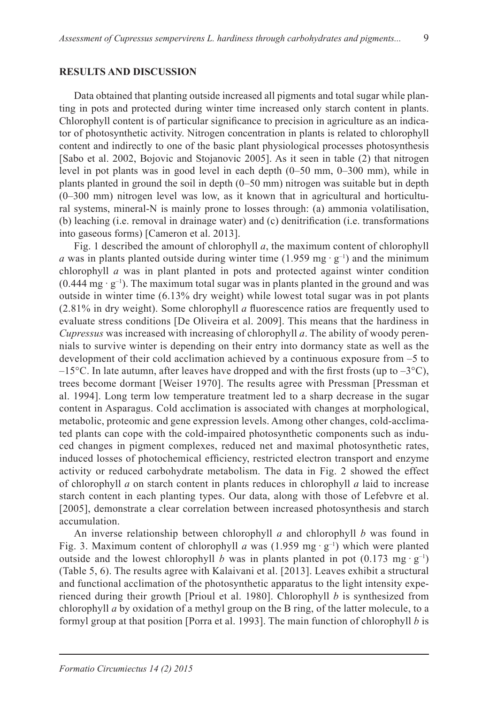#### **RESULTS AND DISCUSSION**

Data obtained that planting outside increased all pigments and total sugar while planting in pots and protected during winter time increased only starch content in plants. Chlorophyll content is of particular significance to precision in agriculture as an indicator of photosynthetic activity. Nitrogen concentration in plants is related to chlorophyll content and indirectly to one of the basic plant physiological processes photosynthesis [Sabo et al. 2002, Bojovic and Stojanovic 2005]. As it seen in table (2) that nitrogen level in pot plants was in good level in each depth (0–50 mm, 0–300 mm), while in plants planted in ground the soil in depth (0–50 mm) nitrogen was suitable but in depth (0–300 mm) nitrogen level was low, as it known that in agricultural and horticultural systems, mineral-N is mainly prone to losses through: (a) ammonia volatilisation, (b) leaching (i.e. removal in drainage water) and (c) denitrification (i.e. transformations into gaseous forms) [Cameron et al. 2013].

Fig. 1 described the amount of chlorophyll *a*, the maximum content of chlorophyll *a* was in plants planted outside during winter time (1.959 mg  $·$  g<sup>-1</sup>) and the minimum chlorophyll *a* was in plant planted in pots and protected against winter condition  $(0.444 \text{ mg} \cdot \text{g}^{-1})$ . The maximum total sugar was in plants planted in the ground and was outside in winter time (6.13% dry weight) while lowest total sugar was in pot plants (2.81% in dry weight). Some chlorophyll *a* fluorescence ratios are frequently used to evaluate stress conditions [De Oliveira et al. 2009]. This means that the hardiness in *Cupressus* was increased with increasing of chlorophyll *a*. The ability of woody perennials to survive winter is depending on their entry into dormancy state as well as the development of their cold acclimation achieved by a continuous exposure from –5 to  $-15^{\circ}$ C. In late autumn, after leaves have dropped and with the first frosts (up to  $-3^{\circ}$ C), trees become dormant [Weiser 1970]. The results agree with Pressman [Pressman et al. 1994]. Long term low temperature treatment led to a sharp decrease in the sugar content in Asparagus. Cold acclimation is associated with changes at morphological, metabolic, proteomic and gene expression levels. Among other changes, cold-acclimated plants can cope with the cold-impaired photosynthetic components such as induced changes in pigment complexes, reduced net and maximal photosynthetic rates, induced losses of photochemical efficiency, restricted electron transport and enzyme activity or reduced carbohydrate metabolism. The data in Fig. 2 showed the effect of chlorophyll *a* on starch content in plants reduces in chlorophyll *a* laid to increase starch content in each planting types. Our data, along with those of Lefebvre et al. [2005], demonstrate a clear correlation between increased photosynthesis and starch accumulation.

An inverse relationship between chlorophyll *a* and chlorophyll *b* was found in Fig. 3. Maximum content of chlorophyll *a* was  $(1.959 \text{ mg} \cdot \text{g}^{-1})$  which were planted outside and the lowest chlorophyll *b* was in plants planted in pot  $(0.173 \text{ mg} \cdot \text{g}^{-1})$ (Table 5, 6). The results agree with Kalaivani et al. [2013]. Leaves exhibit a structural and functional acclimation of the photosynthetic apparatus to the light intensity experienced during their growth [Prioul et al. 1980]. Chlorophyll *b* is synthesized from chlorophyll *a* by oxidation of a methyl group on the B ring, of the latter molecule, to a formyl group at that position [Porra et al. 1993]. The main function of chlorophyll *b* is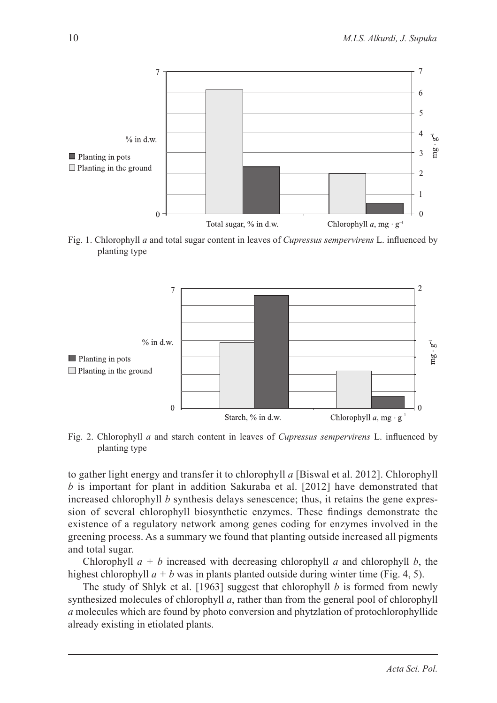





Fig. 2. Chlorophyll *a* and starch content in leaves of *Cupressus sempervirens* L. influenced by planting type

to gather light energy and transfer it to chlorophyll *a* [Biswal et al. 2012]. Chlorophyll *b* is important for plant in addition Sakuraba et al. [2012] have demonstrated that increased chlorophyll *b* synthesis delays senescence; thus, it retains the gene expression of several chlorophyll biosynthetic enzymes. These findings demonstrate the existence of a regulatory network among genes coding for enzymes involved in the greening process. As a summary we found that planting outside increased all pigments and total sugar.

Chlorophyll *a + b* increased with decreasing chlorophyll *a* and chlorophyll *b*, the highest chlorophyll  $a + b$  was in plants planted outside during winter time (Fig. 4, 5).

The study of Shlyk et al. [1963] suggest that chlorophyll *b* is formed from newly synthesized molecules of chlorophyll *a*, rather than from the general pool of chlorophyll *a* molecules which are found by photo conversion and phytzlation of protochlorophyllide already existing in etiolated plants.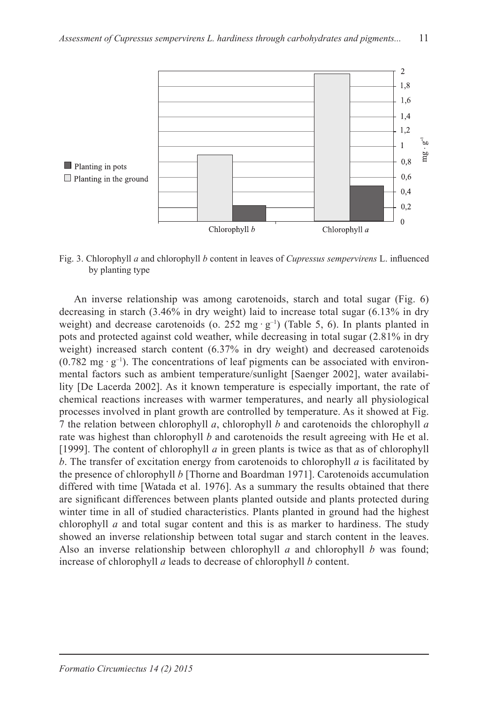

Fig. 3. Chlorophyll *a* and chlorophyll *b* content in leaves of *Cupressus sempervirens* L. influenced by planting type

An inverse relationship was among carotenoids, starch and total sugar (Fig. 6) decreasing in starch (3.46% in dry weight) laid to increase total sugar (6.13% in dry weight) and decrease carotenoids (o. 252 mg  $\cdot$  g<sup>-1</sup>) (Table 5, 6). In plants planted in pots and protected against cold weather, while decreasing in total sugar (2.81% in dry weight) increased starch content (6.37% in dry weight) and decreased carotenoids  $(0.782 \text{ mg} \cdot \text{g}^{-1})$ . The concentrations of leaf pigments can be associated with environmental factors such as ambient temperature/sunlight [Saenger 2002], water availability [De Lacerda 2002]. As it known temperature is especially important, the rate of chemical reactions increases with warmer temperatures, and nearly all physiological processes involved in plant growth are controlled by temperature. As it showed at Fig. 7 the relation between chlorophyll *a*, chlorophyll *b* and carotenoids the chlorophyll *a* rate was highest than chlorophyll *b* and carotenoids the result agreeing with He et al. [1999]. The content of chlorophyll *a* in green plants is twice as that as of chlorophyll *b*. The transfer of excitation energy from carotenoids to chlorophyll *a* is facilitated by the presence of chlorophyll *b* [Thorne and Boardman 1971]. Carotenoids accumulation differed with time [Watada et al. 1976]. As a summary the results obtained that there are significant differences between plants planted outside and plants protected during winter time in all of studied characteristics. Plants planted in ground had the highest chlorophyll *a* and total sugar content and this is as marker to hardiness. The study showed an inverse relationship between total sugar and starch content in the leaves. Also an inverse relationship between chlorophyll *a* and chlorophyll *b* was found; increase of chlorophyll *a* leads to decrease of chlorophyll *b* content.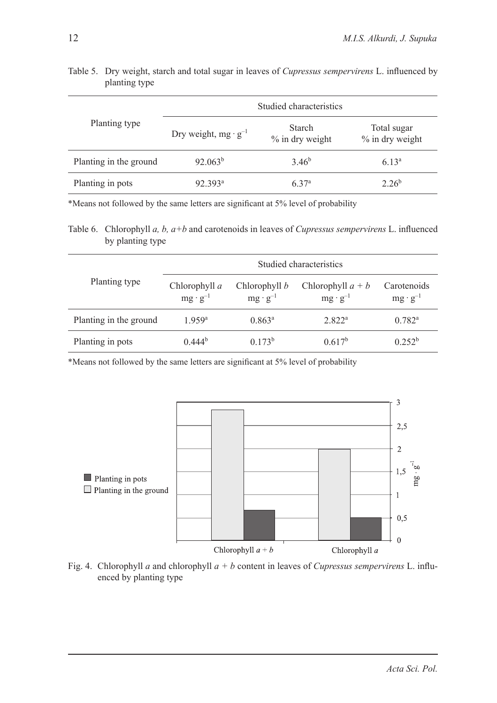# Planting type Studied characteristics Dry weight, mg ·  $g^{-1}$  Starch % in dry weight Total sugar % in dry weight Planting in the ground  $92.063<sup>b</sup>$  3.46<sup>b</sup> 6.13<sup>a</sup> Planting in pots 92.393<sup>a</sup> 6.37<sup>a</sup> 2.26<sup>b</sup>

## Table 5. Dry weight, starch and total sugar in leaves of *Cupressus sempervirens* L. influenced by planting type

\*Means not followed by the same letters are significant at 5% level of probability

Table 6. Chlorophyll *a, b, a+b* and carotenoids in leaves of *Cupressus sempervirens* L. influenced by planting type

| Planting type          | Studied characteristics            |                                    |                                          |                                  |  |  |  |
|------------------------|------------------------------------|------------------------------------|------------------------------------------|----------------------------------|--|--|--|
|                        | Chlorophyll a<br>$mg \cdot g^{-1}$ | Chlorophyll b<br>$mg \cdot g^{-1}$ | Chlorophyll $a + b$<br>$mg \cdot g^{-1}$ | Carotenoids<br>$mg \cdot g^{-1}$ |  |  |  |
| Planting in the ground | $1959^{\circ}$                     | $0.863^a$                          | 2.822 <sup>a</sup>                       | $0.782^a$                        |  |  |  |
| Planting in pots       | $0.444^{b}$                        | $0.173^{b}$                        | $0.617^{b}$                              | 0.252 <sup>b</sup>               |  |  |  |

\*Means not followed by the same letters are significant at 5% level of probability



Fig. 4. Chlorophyll *a* and chlorophyll *a + b* content in leaves of *Cupressus sempervirens* L. influenced by planting type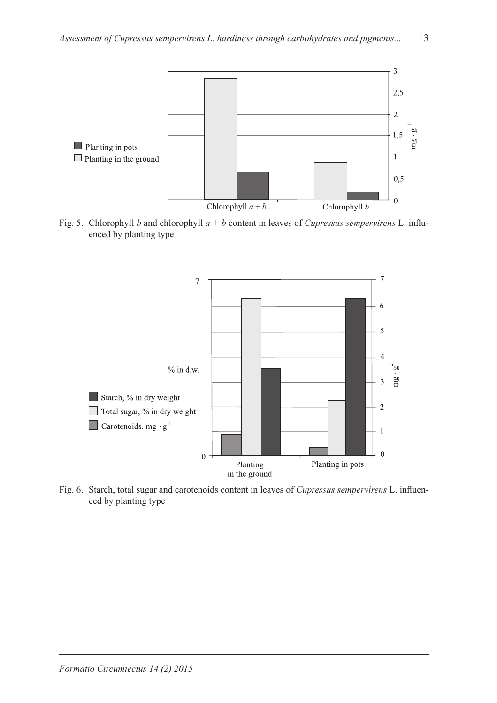

Fig. 5. Chlorophyll *b* and chlorophyll *a + b* content in leaves of *Cupressus sempervirens* L. influenced by planting type



Fig. 6. Starch, total sugar and carotenoids content in leaves of *Cupressus sempervirens* L. influenced by planting type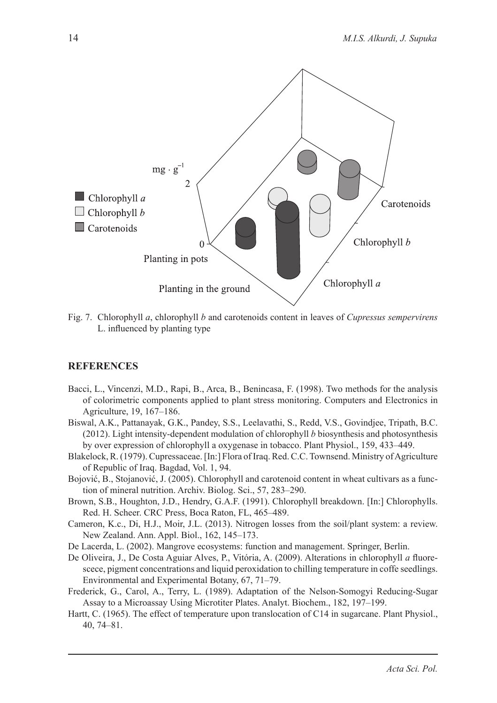

Fig. 7. Chlorophyll *a*, chlorophyll *b* and carotenoids content in leaves of *Cupressus sempervirens* L. influenced by planting type

### **REFERENCES**

- Bacci, L., Vincenzi, M.D., Rapi, B., Arca, B., Benincasa, F. (1998). Two methods for the analysis of colorimetric components applied to plant stress monitoring. Computers and Electronics in Agriculture, 19, 167–186.
- Biswal, A.K., Pattanayak, G.K., Pandey, S.S., Leelavathi, S., Redd, V.S., Govindjee, Tripath, B.C. (2012). Light intensity-dependent modulation of chlorophyll *b* biosynthesis and photosynthesis by over expression of chlorophyll a oxygenase in tobacco. Plant Physiol., 159, 433–449.
- Blakelock, R. (1979). Cupressaceae. [In:] Flora of Iraq. Red. C.C. Townsend. Ministry of Agriculture of Republic of Iraq. Bagdad, Vol. 1, 94.
- Bojović, B., Stojanović, J. (2005). Chlorophyll and carotenoid content in wheat cultivars as a function of mineral nutrition. Archiv. Biolog. Sci., 57, 283–290.
- Brown, S.B., Houghton, J.D., Hendry, G.A.F. (1991). Chlorophyll breakdown. [In:] Chlorophylls. Red. H. Scheer. CRC Press, Boca Raton, FL, 465–489.
- Cameron, K.c., Di, H.J., Moir, J.L. (2013). Nitrogen losses from the soil/plant system: a review. New Zealand. Ann. Appl. Biol., 162, 145–173.
- De Lacerda, L. (2002). Mangrove ecosystems: function and management. Springer, Berlin.
- De Oliveira, J., De Costa Aguiar Alves, P., Vitória, A. (2009). Alterations in chlorophyll *a* fluorescece, pigment concentrations and liquid peroxidation to chilling temperature in coffe seedlings. Environmental and Experimental Botany, 67, 71–79.
- Frederick, G., Carol, A., Terry, L. (1989). Adaptation of the Nelson-Somogyi Reducing-Sugar Assay to a Microassay Using Microtiter Plates. Analyt. Biochem., 182, 197–199.
- Hartt, C. (1965). The effect of temperature upon translocation of C14 in sugarcane. Plant Physiol., 40, 74–81.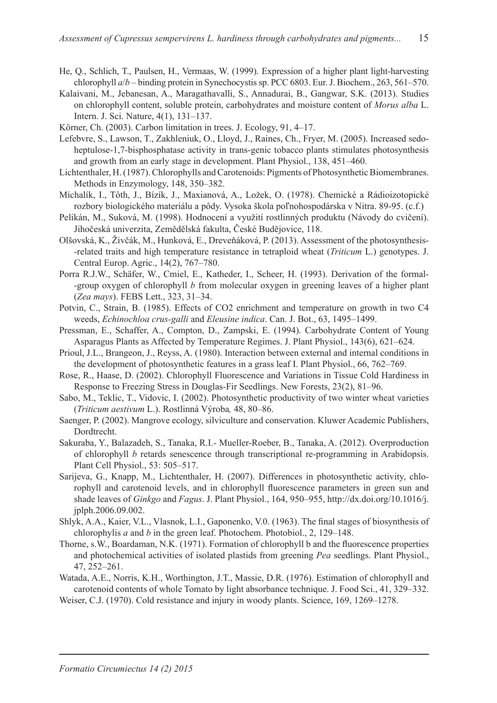- He, Q., Schlich, T., Paulsen, H., Vermaas, W. (1999). Expression of a higher plant light-harvesting chlorophyll *a*/*b* – binding protein in Synechocystis sp. PCC 6803. Eur. J. Biochem., 263, 561–570.
- Kalaivani, M., Jebanesan, A., Maragathavalli, S., Annadurai, B., Gangwar, S.K. (2013). Studies on chlorophyll content, soluble protein, carbohydrates and moisture content of *Morus alba* L. Intern. J. Sci. Nature, 4(1), 131–137.
- Körner, Ch. (2003). Carbon limitation in trees. J. Ecology, 91, 4–17.
- Lefebvre, S., Lawson, T., Zakhleniuk, O., Lloyd, J., Raines, Ch., Fryer, M. (2005). Increased sedoheptulose-1,7-bisphosphatase activity in trans-genic tobacco plants stimulates photosynthesis and growth from an early stage in development. Plant Physiol., 138, 451–460.
- Lichtenthaler, H. (1987). Chlorophylls and Carotenoids: Pigments of Photosynthetic Biomembranes. Methods in Enzymology, 148, 350–382.
- Míchalík, I., Tôth, J., Bízík, J., Maxianová, A., Ložek, O. (1978). Chemické a Rádioizotopické rozbory biologického materiálu a pôdy. Vysoka škola poľnohospodárska v Nitra. 89-95. (c.f.)
- Pelikán, M., Suková, M. (1998). Hodnocení a využití rostlinných produktu (Návody do cvičení). Jihočeská univerzita, Zemědělská fakulta, České Budějovice, 118.
- Olšovská, K., Živčák, M., Hunková, E., Dreveňáková, P. (2013). Assessment of the photosynthesis- -related traits and high temperature resistance in tetraploid wheat (*Triticum* L.) genotypes. J. Central Europ. Agric., 14(2), 767–780.
- Porra R.J.W., Schäfer, W., Cmiel, E., Katheder, I., Scheer, H. (1993). Derivation of the formal- -group oxygen of chlorophyll *b* from molecular oxygen in greening leaves of a higher plant (*Zea mays*). FEBS Lett., 323, 31–34.
- Potvin, C., Strain, B. (1985). Effects of CO2 enrichment and temperature on growth in two C4 weeds, *Echinochloa crus-galli* and *Eleusine indica*. Can. J. Bot., 63, 1495–1499.
- Pressman, E., Schaffer, A., Compton, D., Zampski, E. (1994). Carbohydrate Content of Young Asparagus Plants as Affected by Temperature Regimes. J. Plant Physiol., 143(6), 621–624.
- Prioul, J.L., Brangeon, J., Reyss, A. (1980). Interaction between external and internal conditions in the development of photosynthetic features in a grass leaf I. Plant Physiol., 66, 762–769.
- Rose, R., Haase, D. (2002). Chlorophyll Fluorescence and Variations in Tissue Cold Hardiness in Response to Freezing Stress in Douglas-Fir Seedlings. New Forests, 23(2), 81–96.
- Sabo, M., Teklic, T., Vidovic, I. (2002). Photosynthetic productivity of two winter wheat varieties (*Triticum aestivum* L.). Rostlinná Výroba*,* 48, 80–86.
- Saenger, P. (2002). Mangrove ecology, silviculture and conservation. Kluwer Academic Publishers, Dordtrecht.
- Sakuraba, Y., Balazadeh, S., Tanaka, R.I.- Mueller-Roeber, B., Tanaka, A. (2012). Overproduction of chlorophyll *b* retards senescence through transcriptional re-programming in Arabidopsis. Plant Cell Physiol., 53: 505–517.
- Sarijeva, G., Knapp, M., Lichtenthaler, H. (2007). Differences in photosynthetic activity, chlorophyll and carotenoid levels, and in chlorophyll fluorescence parameters in green sun and shade leaves of *Ginkgo* and *Fagus*. J. Plant Physiol., 164, 950–955, http://dx.doi.org/10.1016/j. jplph.2006.09.002.
- Shlyk, A.A., Kaier, V.L., Vlasnok, L.I., Gaponenko, V.0. (1963). The final stages of biosynthesis of chlorophylis *a* and *b* in the green leaf. Photochem. Photobiol., 2, 129–148.
- Thorne, s.W., Boardaman, N.K. (1971). Formation of chlorophyll b and the fluorescence properties and photochemical activities of isolated plastids from greening *Pea* seedlings. Plant Physiol., 47, 252–261.
- Watada, A.E., Norris, K.H., Worthington, J.T., Massie, D.R. (1976). Estimation of chlorophyll and carotenoid contents of whole Tomato by light absorbance technique. J. Food Sci., 41, 329–332.
- Weiser, C.J. (1970). Cold resistance and injury in woody plants. Science, 169, 1269–1278.